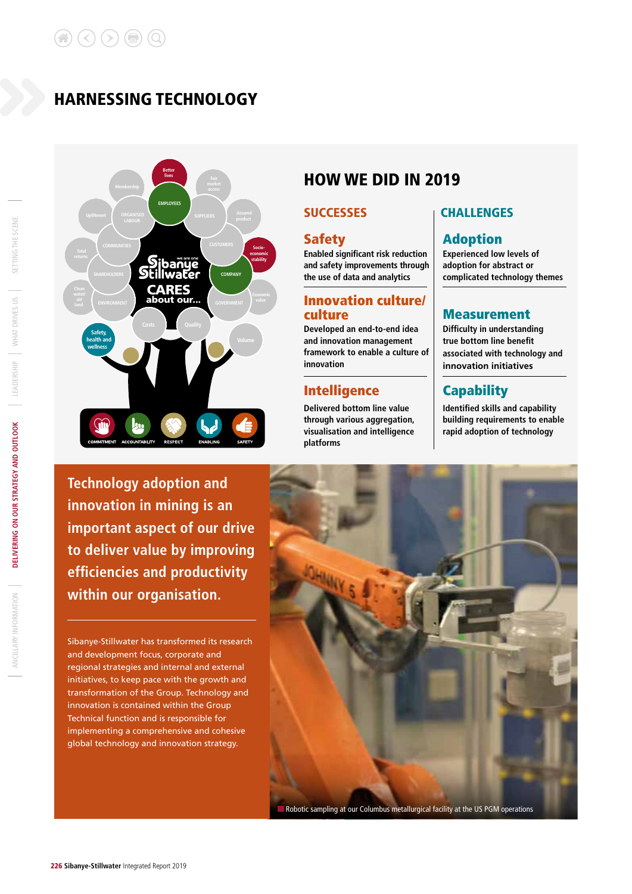# HARNESSING TECHNOLOGY



# **Technology adoption and innovation in mining is an important aspect of our drive to deliver value by improving efficiencies and productivity within our organisation.**

Sibanye-Stillwater has transformed its research and development focus, corporate and regional strategies and internal and external initiatives, to keep pace with the growth and transformation of the Group. Technology and innovation is contained within the Group Technical function and is responsible for implementing a comprehensive and cohesive global technology and innovation strategy.

# HOW WE DID IN 2019

**Enabled significant risk reduction and safety improvements through the use of data and analytics**

# Innovation culture/

**Developed an end-to-end idea and innovation management framework to enable a culture of innovation**

## Intelligence Capability

**Delivered bottom line value through various aggregation, visualisation and intelligence platforms**

### SUCCESSES **CHALLENGES**

## Safety **Adoption**

**Experienced low levels of adoption for abstract or complicated technology themes**

### **Measurement**

**Difficulty in understanding true bottom line benefit associated with technology and innovation initiatives**

**Identified skills and capability building requirements to enable rapid adoption of technology**

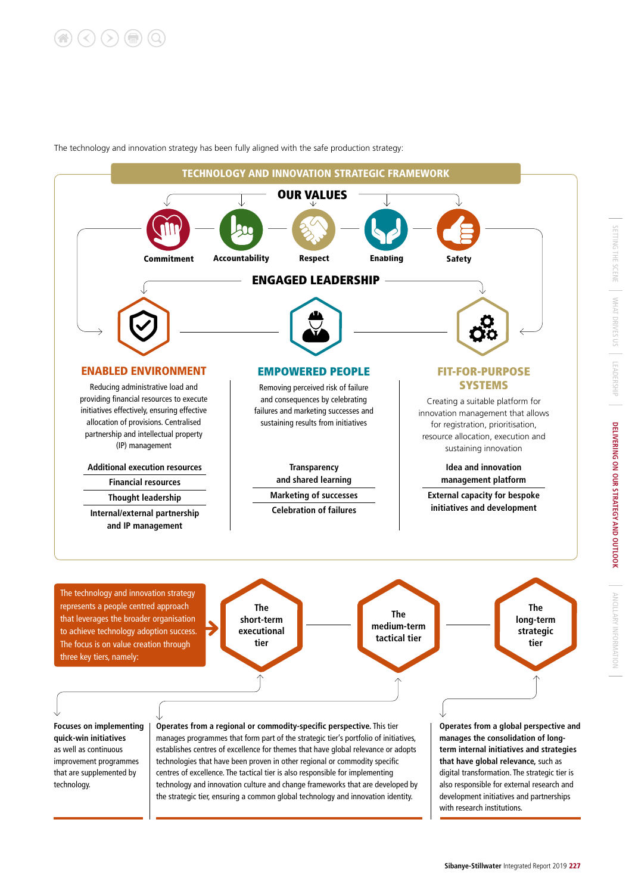The technology and innovation strategy has been fully aligned with the safe production strategy:

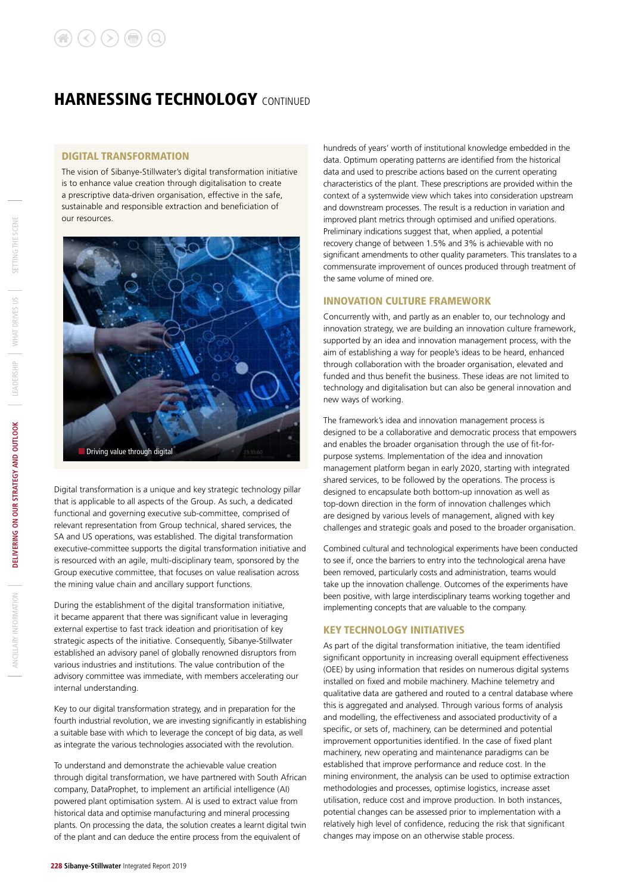# **HARNESSING TECHNOLOGY CONTINUED**

### DIGITAL TRANSFORMATION

The vision of Sibanye-Stillwater's digital transformation initiative is to enhance value creation through digitalisation to create a prescriptive data-driven organisation, effective in the safe, sustainable and responsible extraction and beneficiation of our resources.



Digital transformation is a unique and key strategic technology pillar that is applicable to all aspects of the Group. As such, a dedicated functional and governing executive sub-committee, comprised of relevant representation from Group technical, shared services, the SA and US operations, was established. The digital transformation executive-committee supports the digital transformation initiative and is resourced with an agile, multi-disciplinary team, sponsored by the Group executive committee, that focuses on value realisation across the mining value chain and ancillary support functions.

During the establishment of the digital transformation initiative, it became apparent that there was significant value in leveraging external expertise to fast track ideation and prioritisation of key strategic aspects of the initiative. Consequently, Sibanye-Stillwater established an advisory panel of globally renowned disruptors from various industries and institutions. The value contribution of the advisory committee was immediate, with members accelerating our internal understanding.

Key to our digital transformation strategy, and in preparation for the fourth industrial revolution, we are investing significantly in establishing a suitable base with which to leverage the concept of big data, as well as integrate the various technologies associated with the revolution.

To understand and demonstrate the achievable value creation through digital transformation, we have partnered with South African company, DataProphet, to implement an artificial intelligence (AI) powered plant optimisation system. AI is used to extract value from historical data and optimise manufacturing and mineral processing plants. On processing the data, the solution creates a learnt digital twin of the plant and can deduce the entire process from the equivalent of

hundreds of years' worth of institutional knowledge embedded in the data. Optimum operating patterns are identified from the historical data and used to prescribe actions based on the current operating characteristics of the plant. These prescriptions are provided within the context of a systemwide view which takes into consideration upstream and downstream processes. The result is a reduction in variation and improved plant metrics through optimised and unified operations. Preliminary indications suggest that, when applied, a potential recovery change of between 1.5% and 3% is achievable with no significant amendments to other quality parameters. This translates to a commensurate improvement of ounces produced through treatment of the same volume of mined ore.

### INNOVATION CULTURE FRAMEWORK

Concurrently with, and partly as an enabler to, our technology and innovation strategy, we are building an innovation culture framework, supported by an idea and innovation management process, with the aim of establishing a way for people's ideas to be heard, enhanced through collaboration with the broader organisation, elevated and funded and thus benefit the business. These ideas are not limited to technology and digitalisation but can also be general innovation and new ways of working.

The framework's idea and innovation management process is designed to be a collaborative and democratic process that empowers and enables the broader organisation through the use of fit-forpurpose systems. Implementation of the idea and innovation management platform began in early 2020, starting with integrated shared services, to be followed by the operations. The process is designed to encapsulate both bottom-up innovation as well as top-down direction in the form of innovation challenges which are designed by various levels of management, aligned with key challenges and strategic goals and posed to the broader organisation.

Combined cultural and technological experiments have been conducted to see if, once the barriers to entry into the technological arena have been removed, particularly costs and administration, teams would take up the innovation challenge. Outcomes of the experiments have been positive, with large interdisciplinary teams working together and implementing concepts that are valuable to the company.

### KEY TECHNOLOGY INITIATIVES

As part of the digital transformation initiative, the team identified significant opportunity in increasing overall equipment effectiveness (OEE) by using information that resides on numerous digital systems installed on fixed and mobile machinery. Machine telemetry and qualitative data are gathered and routed to a central database where this is aggregated and analysed. Through various forms of analysis and modelling, the effectiveness and associated productivity of a specific, or sets of, machinery, can be determined and potential improvement opportunities identified. In the case of fixed plant machinery, new operating and maintenance paradigms can be established that improve performance and reduce cost. In the mining environment, the analysis can be used to optimise extraction methodologies and processes, optimise logistics, increase asset utilisation, reduce cost and improve production. In both instances, potential changes can be assessed prior to implementation with a relatively high level of confidence, reducing the risk that significant changes may impose on an otherwise stable process.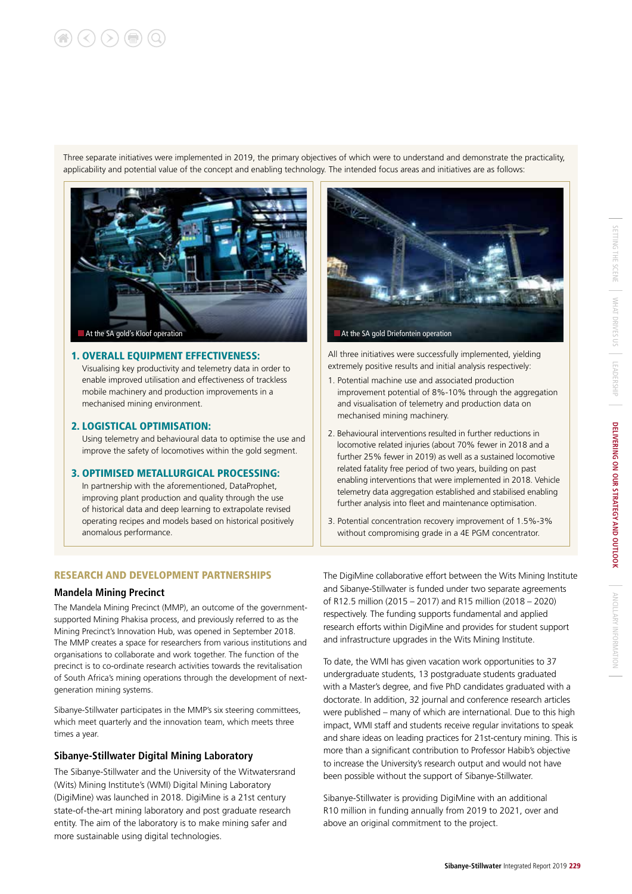# $(\langle \rangle (\rangle) (\exists)$  (C

Three separate initiatives were implemented in 2019, the primary objectives of which were to understand and demonstrate the practicality, applicability and potential value of the concept and enabling technology. The intended focus areas and initiatives are as follows:



### 1. OVERALL EQUIPMENT EFFECTIVENESS:

Visualising key productivity and telemetry data in order to enable improved utilisation and effectiveness of trackless mobile machinery and production improvements in a mechanised mining environment.

### 2. LOGISTICAL OPTIMISATION:

Using telemetry and behavioural data to optimise the use and improve the safety of locomotives within the gold segment.

### 3. OPTIMISED METALLURGICAL PROCESSING:

In partnership with the aforementioned, DataProphet, improving plant production and quality through the use of historical data and deep learning to extrapolate revised operating recipes and models based on historical positively anomalous performance.

### RESEARCH AND DEVELOPMENT PARTNERSHIPS

### **Mandela Mining Precinct**

The Mandela Mining Precinct (MMP), an outcome of the governmentsupported Mining Phakisa process, and previously referred to as the Mining Precinct's Innovation Hub, was opened in September 2018. The MMP creates a space for researchers from various institutions and organisations to collaborate and work together. The function of the precinct is to co-ordinate research activities towards the revitalisation of South Africa's mining operations through the development of nextgeneration mining systems.

Sibanye-Stillwater participates in the MMP's six steering committees, which meet quarterly and the innovation team, which meets three times a year.

### **Sibanye-Stillwater Digital Mining Laboratory**

The Sibanye-Stillwater and the University of the Witwatersrand (Wits) Mining Institute's (WMI) Digital Mining Laboratory (DigiMine) was launched in 2018. DigiMine is a 21st century state-of-the-art mining laboratory and post graduate research entity. The aim of the laboratory is to make mining safer and more sustainable using digital technologies.



All three initiatives were successfully implemented, yielding extremely positive results and initial analysis respectively:

- 1. Potential machine use and associated production improvement potential of 8%-10% through the aggregation and visualisation of telemetry and production data on mechanised mining machinery.
- 2. Behavioural interventions resulted in further reductions in locomotive related injuries (about 70% fewer in 2018 and a further 25% fewer in 2019) as well as a sustained locomotive related fatality free period of two years, building on past enabling interventions that were implemented in 2018. Vehicle telemetry data aggregation established and stabilised enabling further analysis into fleet and maintenance optimisation.
- 3. Potential concentration recovery improvement of 1.5%-3% without compromising grade in a 4E PGM concentrator.

The DigiMine collaborative effort between the Wits Mining Institute and Sibanye-Stillwater is funded under two separate agreements of R12.5 million (2015 – 2017) and R15 million (2018 – 2020) respectively. The funding supports fundamental and applied research efforts within DigiMine and provides for student support and infrastructure upgrades in the Wits Mining Institute.

To date, the WMI has given vacation work opportunities to 37 undergraduate students, 13 postgraduate students graduated with a Master's degree, and five PhD candidates graduated with a doctorate. In addition, 32 journal and conference research articles were published – many of which are international. Due to this high impact, WMI staff and students receive regular invitations to speak and share ideas on leading practices for 21st-century mining. This is more than a significant contribution to Professor Habib's objective to increase the University's research output and would not have been possible without the support of Sibanye-Stillwater.

Sibanye-Stillwater is providing DigiMine with an additional R10 million in funding annually from 2019 to 2021, over and above an original commitment to the project.

ANCILLARY INFORMATION

ANCILLARY INFORMATION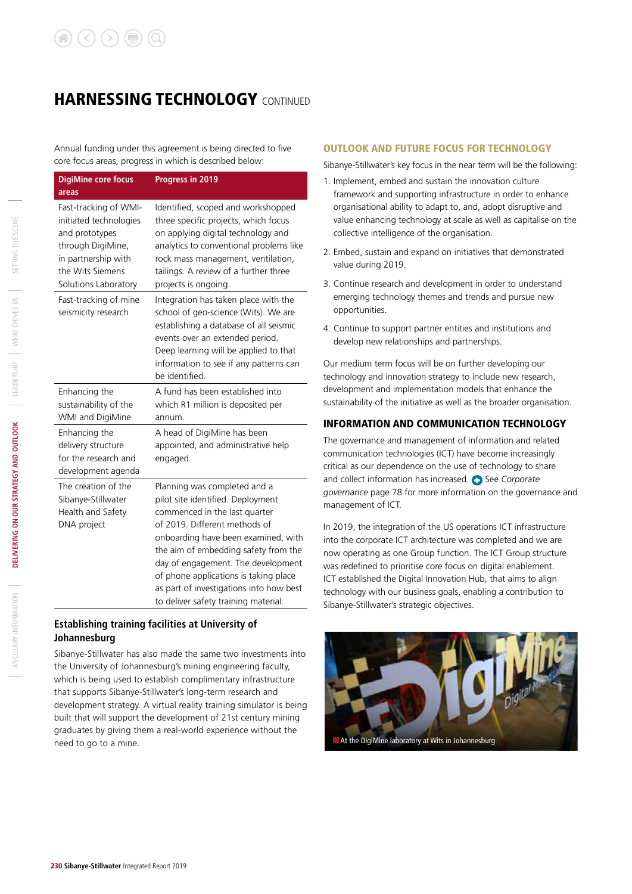# **HARNESSING TECHNOLOGY CONTINUED**

Annual funding under this agreement is being directed to five core focus areas, progress in which is described below:

| <b>DigiMine core focus</b><br>areas                                                                                                                       | Progress in 2019                                                                                                                                                                                                                                                                                                                                                                     |
|-----------------------------------------------------------------------------------------------------------------------------------------------------------|--------------------------------------------------------------------------------------------------------------------------------------------------------------------------------------------------------------------------------------------------------------------------------------------------------------------------------------------------------------------------------------|
| Fast-tracking of WMI-<br>initiated technologies<br>and prototypes<br>through DigiMine,<br>in partnership with<br>the Wits Siemens<br>Solutions Laboratory | Identified, scoped and workshopped<br>three specific projects, which focus<br>on applying digital technology and<br>analytics to conventional problems like<br>rock mass management, ventilation,<br>tailings. A review of a further three<br>projects is ongoing.                                                                                                                   |
| Fast-tracking of mine<br>seismicity research                                                                                                              | Integration has taken place with the<br>school of geo-science (Wits). We are<br>establishing a database of all seismic<br>events over an extended period.<br>Deep learning will be applied to that<br>information to see if any patterns can<br>be identified.                                                                                                                       |
| Enhancing the<br>sustainability of the<br>WMI and DigiMine                                                                                                | A fund has been established into<br>which R1 million is deposited per<br>annum.                                                                                                                                                                                                                                                                                                      |
| Enhancing the<br>delivery structure<br>for the research and<br>development agenda                                                                         | A head of DigiMine has been<br>appointed, and administrative help<br>engaged.                                                                                                                                                                                                                                                                                                        |
| The creation of the<br>Sibanye-Stillwater<br>Health and Safety<br>DNA project                                                                             | Planning was completed and a<br>pilot site identified. Deployment<br>commenced in the last quarter<br>of 2019. Different methods of<br>onboarding have been examined, with<br>the aim of embedding safety from the<br>day of engagement. The development<br>of phone applications is taking place<br>as part of investigations into how best<br>to deliver safety training material. |

### **Establishing training facilities at University of Johannesburg**

Sibanye-Stillwater has also made the same two investments into the University of Johannesburg's mining engineering faculty, which is being used to establish complimentary infrastructure that supports Sibanye-Stillwater's long-term research and development strategy. A virtual reality training simulator is being built that will support the development of 21st century mining graduates by giving them a real-world experience without the need to go to a mine.

### OUTLOOK AND FUTURE FOCUS FOR TECHNOLOGY

Sibanye-Stillwater's key focus in the near term will be the following:

- 1. Implement, embed and sustain the innovation culture framework and supporting infrastructure in order to enhance organisational ability to adapt to, and, adopt disruptive and value enhancing technology at scale as well as capitalise on the collective intelligence of the organisation.
- 2. Embed, sustain and expand on initiatives that demonstrated value during 2019.
- 3. Continue research and development in order to understand emerging technology themes and trends and pursue new opportunities.
- 4. Continue to support partner entities and institutions and develop new relationships and partnerships.

Our medium term focus will be on further developing our technology and innovation strategy to include new research, development and implementation models that enhance the sustainability of the initiative as well as the broader organisation.

### INFORMATION AND COMMUNICATION TECHNOLOGY

The governance and management of information and related communication technologies (ICT) have become increasingly critical as our dependence on the use of technology to share and collect information has increased. See Corporate *governance* page 78 for more information on the governance and management of ICT.

In 2019, the integration of the US operations ICT infrastructure into the corporate ICT architecture was completed and we are now operating as one Group function. The ICT Group structure was redefined to prioritise core focus on digital enablement. ICT established the Digital Innovation Hub, that aims to align technology with our business goals, enabling a contribution to Sibanye-Stillwater's strategic objectives.